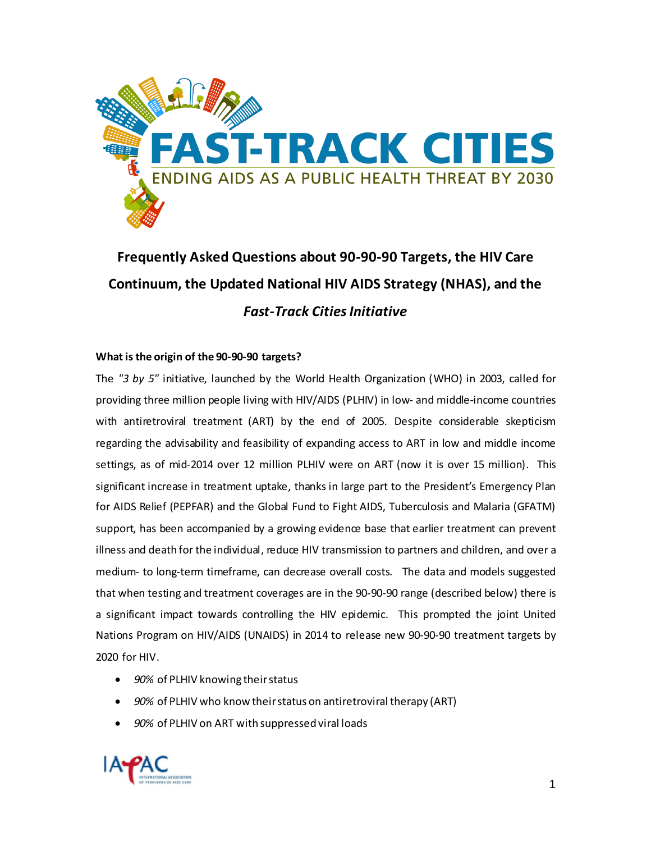

# **Frequently Asked Questions about 90-90-90 Targets, the HIV Care Continuum, the Updated National HIV AIDS Strategy (NHAS), and the**  *Fast-Track Cities Initiative*

# **What is the origin of the 90-90-90 targets?**

The *"3 by 5"* initiative, launched by the World Health Organization (WHO) in 2003, called for providing three million people living with HIV/AIDS (PLHIV) in low- and middle-income countries with antiretroviral treatment (ART) by the end of 2005. Despite considerable skepticism regarding the advisability and feasibility of expanding access to ART in low and middle income settings, as of mid-2014 over 12 million PLHIV were on ART (now it is over 15 million). This significant increase in treatment uptake, thanks in large part to the President's Emergency Plan for AIDS Relief (PEPFAR) and the Global Fund to Fight AIDS, Tuberculosis and Malaria (GFATM) support, has been accompanied by a growing evidence base that earlier treatment can prevent illness and death for the individual, reduce HIV transmission to partners and children, and over a medium- to long-term timeframe, can decrease overall costs. The data and models suggested that when testing and treatment coverages are in the 90-90-90 range (described below) there is a significant impact towards controlling the HIV epidemic. This prompted the joint United Nations Program on HIV/AIDS (UNAIDS) in 2014 to release new 90-90-90 treatment targets by 2020 for HIV.

- *90%* of PLHIV knowing their status
- *90%* of PLHIV who know their status on antiretroviral therapy (ART)
- *90%* of PLHIV on ART with suppressed viral loads

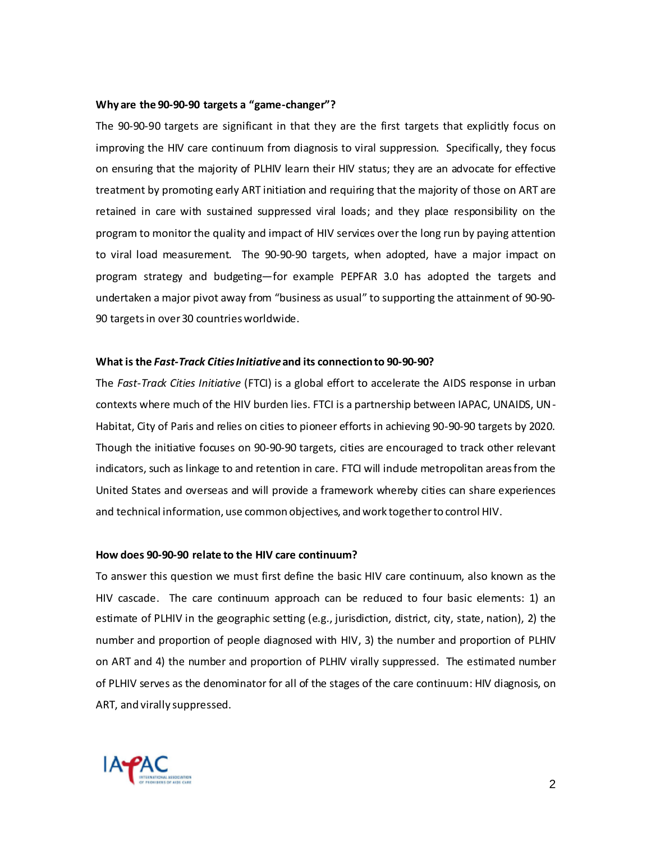#### **Why are the 90-90-90 targets a "game-changer"?**

The 90-90-90 targets are significant in that they are the first targets that explicitly focus on improving the HIV care continuum from diagnosis to viral suppression. Specifically, they focus on ensuring that the majority of PLHIV learn their HIV status; they are an advocate for effective treatment by promoting early ART initiation and requiring that the majority of those on ART are retained in care with sustained suppressed viral loads; and they place responsibility on the program to monitor the quality and impact of HIV services over the long run by paying attention to viral load measurement. The 90-90-90 targets, when adopted, have a major impact on program strategy and budgeting—for example PEPFAR 3.0 has adopted the targets and undertaken a major pivot away from "business as usual" to supporting the attainment of 90-90- 90 targetsin over 30 countries worldwide.

### **What is the** *Fast-Track Cities Initiative* **and its connection to 90-90-90?**

The *Fast-Track Cities Initiative* (FTCI) is a global effort to accelerate the AIDS response in urban contexts where much of the HIV burden lies. FTCI is a partnership between IAPAC, UNAIDS, UN-Habitat, City of Paris and relies on cities to pioneer efforts in achieving 90-90-90 targets by 2020. Though the initiative focuses on 90-90-90 targets, cities are encouraged to track other relevant indicators, such as linkage to and retention in care. FTCI will indude metropolitan areas from the United States and overseas and will provide a framework whereby cities can share experiences and technical information, use common objectives, and work together to control HIV.

#### **How does 90-90-90 relate to the HIV care continuum?**

To answer this question we must first define the basic HIV care continuum, also known as the HIV cascade. The care continuum approach can be reduced to four basic elements: 1) an estimate of PLHIV in the geographic setting (e.g., jurisdiction, district, city, state, nation), 2) the number and proportion of people diagnosed with HIV, 3) the number and proportion of PLHIV on ART and 4) the number and proportion of PLHIV virally suppressed. The estimated number of PLHIV serves as the denominator for all of the stages of the care continuum: HIV diagnosis, on ART, and virally suppressed.

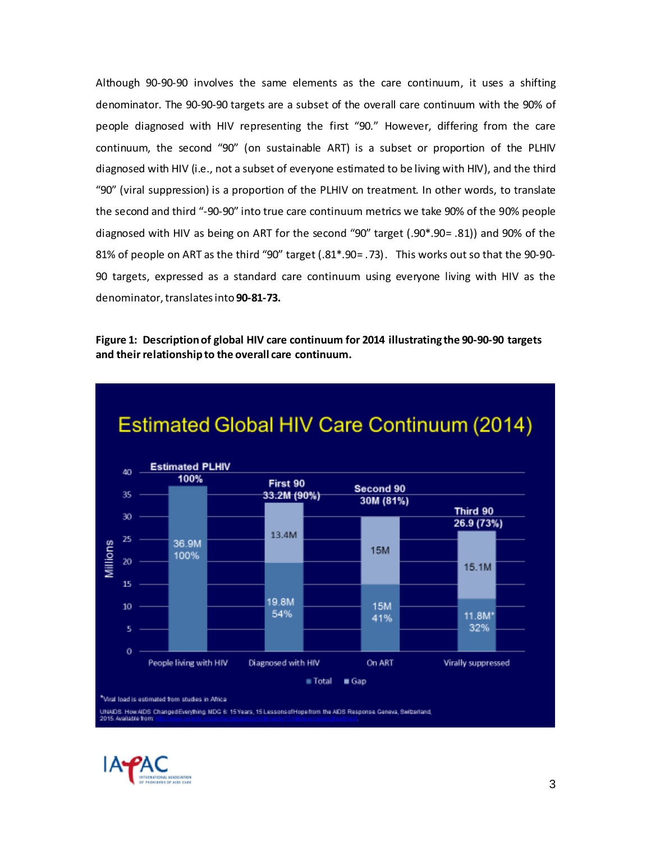Although 90-90-90 involves the same elements as the care continuum, it uses a shifting denominator. The 90-90-90 targets are a subset of the overall care continuum with the 90% of people diagnosed with HIV representing the first "90." However, differing from the care continuum, the second "90" (on sustainable ART) is a subset or proportion of the PLHIV diagnosed with HIV (i.e., not a subset of everyone estimated to be living with HIV), and the third "90" (viral suppression) is a proportion of the PLHIV on treatment. In other words, to translate the second and third "-90-90" into true care continuum metrics we take 90% of the 90% people diagnosed with HIV as being on ART for the second "90" target (.90\*.90= .81)) and 90% of the 81% of people on ART as the third "90" target (.81\*.90= .73). This works out so that the 90-90- 90 targets, expressed as a standard care continuum using everyone living with HIV as the denominator, translates into **90-81-73.**

**Figure 1: Description of global HIV care continuum for 2014 illustrating the 90-90-90 targets and their relationship to the overall care continuum.**



UNAIDS. How AIDS ChangedEverything. MDG 6: 15 Years, 15 Lessons of Hopefrom the AIDS Response. Ceneva, Switzerland,

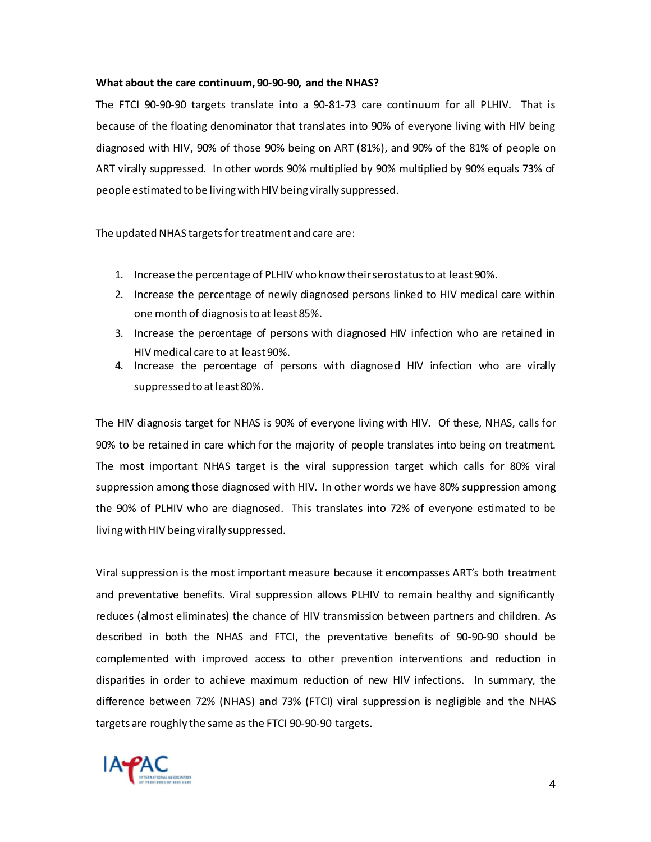## **What about the care continuum, 90-90-90, and the NHAS?**

The FTCI 90-90-90 targets translate into a 90-81-73 care continuum for all PLHIV. That is because of the floating denominator that translates into 90% of everyone living with HIV being diagnosed with HIV, 90% of those 90% being on ART (81%), and 90% of the 81% of people on ART virally suppressed. In other words 90% multiplied by 90% multiplied by 90% equals 73% of people estimated to be living with HIV being virally suppressed.

The updated NHAS targets for treatment and care are:

- 1. Increase the percentage of PLHIV who know their serostatus to at least 90%.
- 2. Increase the percentage of newly diagnosed persons linked to HIV medical care within one month of diagnosis to at least 85%.
- 3. Increase the percentage of persons with diagnosed HIV infection who are retained in HIV medical care to at least 90%.
- 4. Increase the percentage of persons with diagnosed HIV infection who are virally suppressed to at least 80%.

The HIV diagnosis target for NHAS is 90% of everyone living with HIV. Of these, NHAS, calls for 90% to be retained in care which for the majority of people translates into being on treatment. The most important NHAS target is the viral suppression target which calls for 80% viral suppression among those diagnosed with HIV. In other words we have 80% suppression among the 90% of PLHIV who are diagnosed. This translates into 72% of everyone estimated to be living with HIV being virally suppressed.

Viral suppression is the most important measure because it encompasses ART's both treatment and preventative benefits. Viral suppression allows PLHIV to remain healthy and significantly reduces (almost eliminates) the chance of HIV transmission between partners and children. As described in both the NHAS and FTCI, the preventative benefits of 90-90-90 should be complemented with improved access to other prevention interventions and reduction in disparities in order to achieve maximum reduction of new HIV infections. In summary, the difference between 72% (NHAS) and 73% (FTCI) viral suppression is negligible and the NHAS targets are roughly the same as the FTCI 90-90-90 targets.